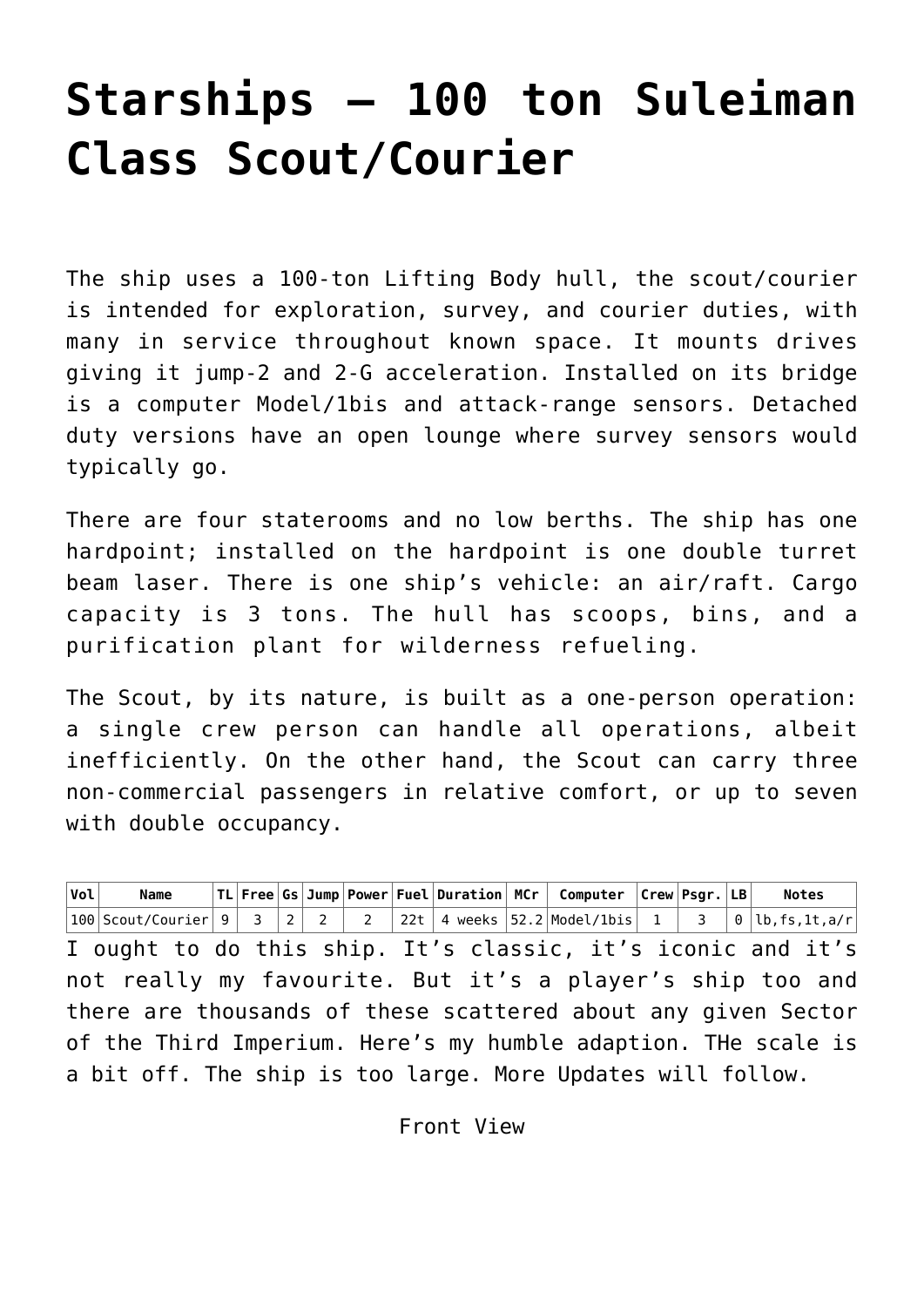## **[Starships – 100 ton Suleiman](http://traveller.chromeblack.com/scout-courier/) [Class Scout/Courier](http://traveller.chromeblack.com/scout-courier/)**

The ship uses a 100-ton Lifting Body hull, the [scout/courier](http://eaglestone.pocketempires.com/ships/designs/Imperial-ACS-S-AL22-Murphy-class%20Scout.html) is intended for exploration, survey, and courier duties, with many in service throughout known space. It mounts drives giving it jump-2 and 2-G acceleration. Installed on its bridge is a computer Model/1bis and attack-range sensors. Detached duty versions have an open lounge where survey sensors would typically go.

There are four staterooms and no low berths. The ship has one hardpoint; installed on the hardpoint is one double turret beam laser. There is one ship's vehicle: an air/raft. Cargo capacity is 3 tons. The hull has scoops, bins, and a purification plant for wilderness refueling.

The Scout, by its nature, is built as a one-person operation: a single crew person can handle all operations, albeit inefficiently. On the other hand, the Scout can carry three non-commercial passengers in relative comfort, or up to seven with double occupancy.

| $\sqrt{vol}$                                                   | <b>Name</b>                                                                                                                                                                                                              |  |  |  |  |  |  |  | $ TL $ Free Gs Jump Power Fuel Duration MCr   Computer $ C$ rew Psgr. $ LB $ Notes |  |  |
|----------------------------------------------------------------|--------------------------------------------------------------------------------------------------------------------------------------------------------------------------------------------------------------------------|--|--|--|--|--|--|--|------------------------------------------------------------------------------------|--|--|
|                                                                | $\big 100\big \text{Scout/Counter}\big \,9\ \big \,3\ \big \,2\ \big \,2\ \big \,2\ \big \,2\ \big \,22t\ \big \,4$ weeks $\big 52.2\big \text{Model/1bis}\big \,1\ \big \,3\ \big \,0\,\big \text{lb,fs,lt,a/r}\big \,$ |  |  |  |  |  |  |  |                                                                                    |  |  |
| I ought to do this ship. It's classic, it's iconic and it's    |                                                                                                                                                                                                                          |  |  |  |  |  |  |  |                                                                                    |  |  |
| not really my favourite. But it's a player's ship too and      |                                                                                                                                                                                                                          |  |  |  |  |  |  |  |                                                                                    |  |  |
| there are thousands of these scattered about any given Sector  |                                                                                                                                                                                                                          |  |  |  |  |  |  |  |                                                                                    |  |  |
| of the Third Imperium. Here's my humble adaption. The scale is |                                                                                                                                                                                                                          |  |  |  |  |  |  |  |                                                                                    |  |  |
| a bit off. The ship is too large. More Updates will follow.    |                                                                                                                                                                                                                          |  |  |  |  |  |  |  |                                                                                    |  |  |

Front View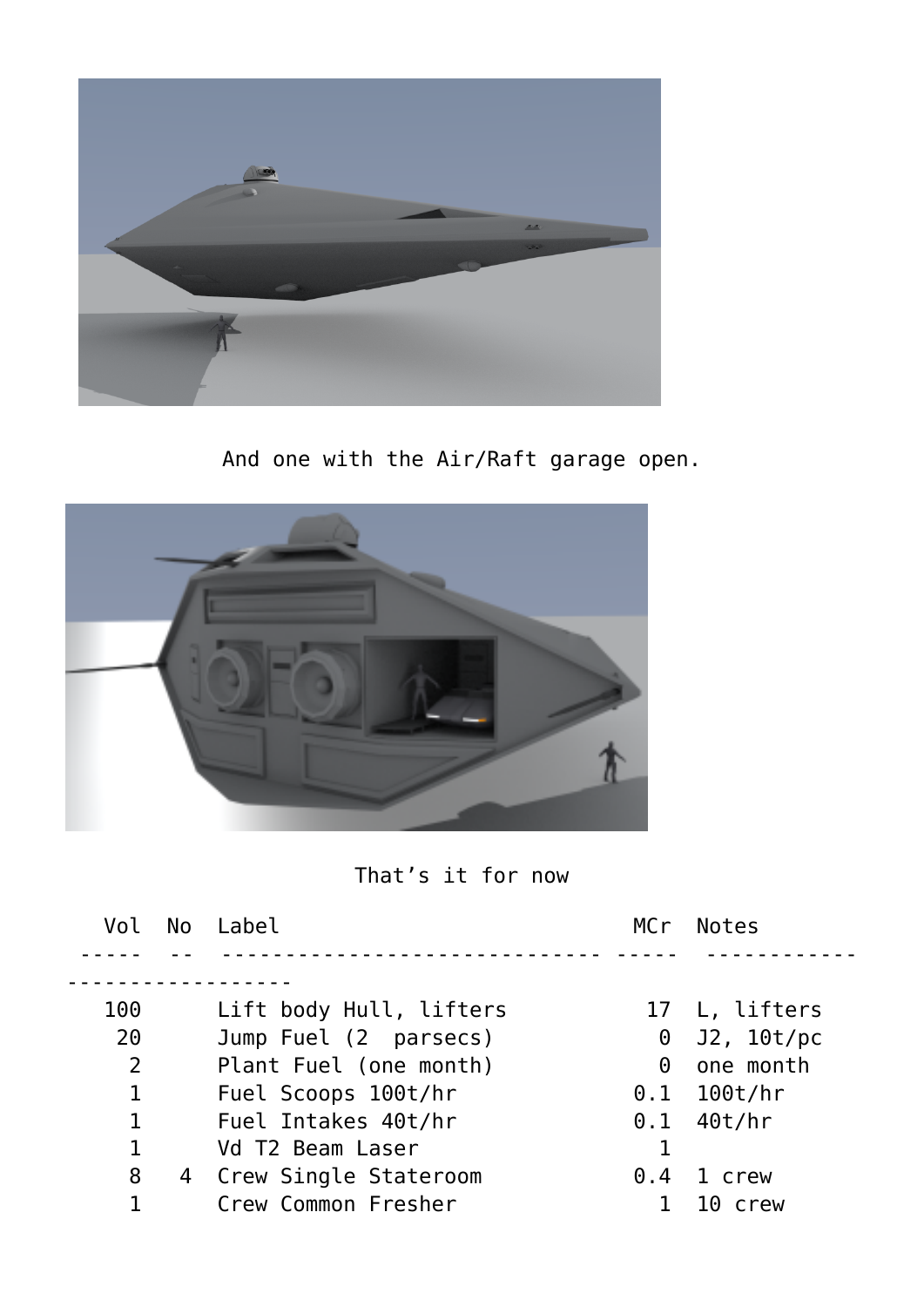

And one with the Air/Raft garage open.



That's it for now

| Vol            | No | Label                   | MCr      | <b>Notes</b>       |
|----------------|----|-------------------------|----------|--------------------|
|                |    |                         |          |                    |
| 100            |    | Lift body Hull, lifters |          | 17 L, lifters      |
| 20             |    | Jump Fuel (2 parsecs)   | 0        | J2, 10t/pc         |
| $\overline{2}$ |    | Plant Fuel (one month)  | $\Theta$ | one month          |
| 1              |    | Fuel Scoops 100t/hr     |          | $0.1$ 100t/hr      |
| $\mathbf{1}$   |    | Fuel Intakes 40t/hr     |          | $0.1 \quad 40t/hr$ |
| $\mathbf{1}$   |    | Vd T2 Beam Laser        |          |                    |
| 8              |    | 4 Crew Single Stateroom | 0.4      | 1 crew             |
|                |    | Crew Common Fresher     |          | 10 crew            |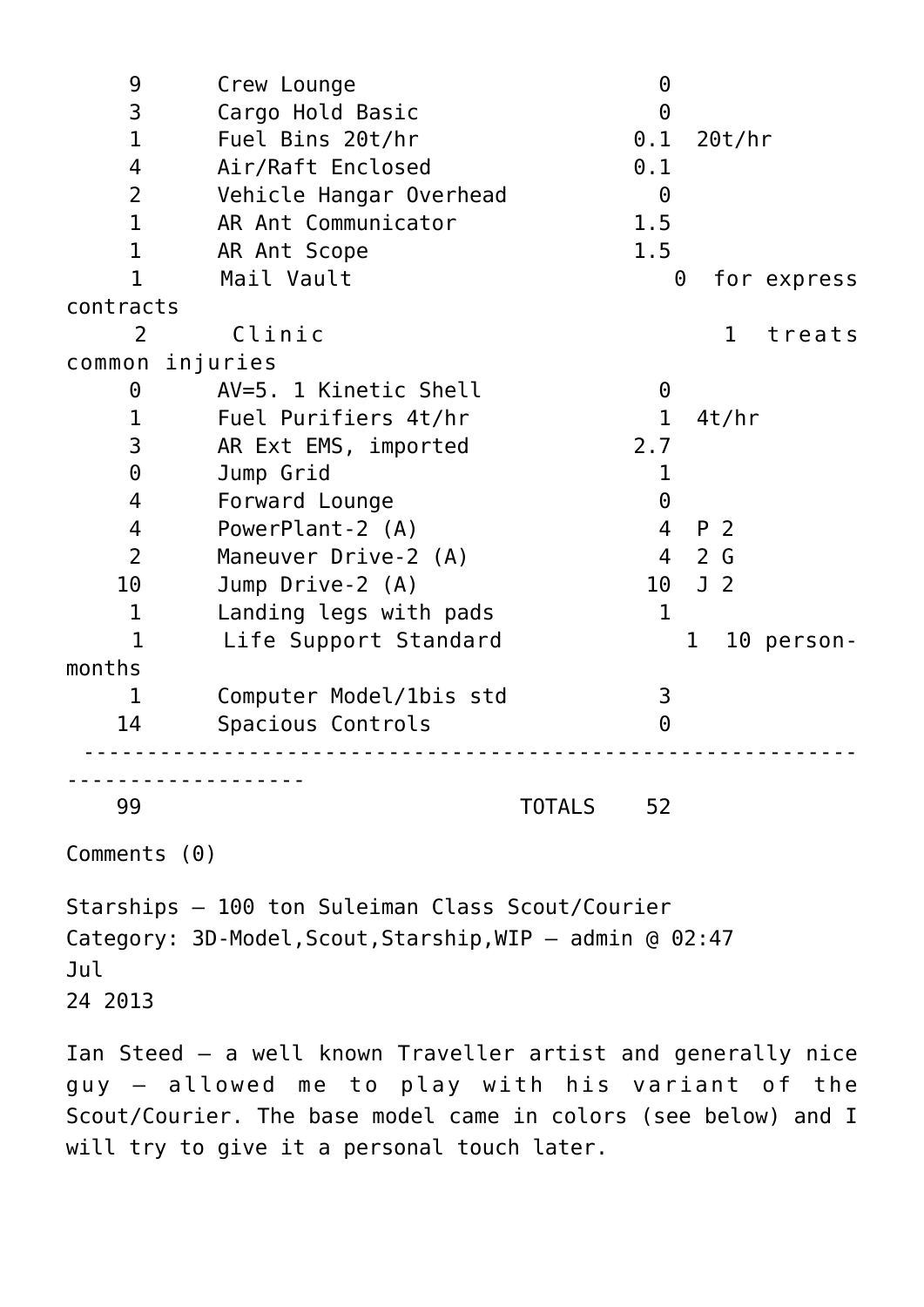| 9              | Crew Lounge             | $\Theta$                |
|----------------|-------------------------|-------------------------|
| 3              | Cargo Hold Basic        | 0                       |
| $\mathbf 1$    | Fuel Bins 20t/hr        | $0.1$ 20t/hr            |
| $\overline{4}$ | Air/Raft Enclosed       | 0.1                     |
| $\overline{2}$ | Vehicle Hangar Overhead | $\Theta$                |
| $\mathbf{1}$   | AR Ant Communicator     | 1.5                     |
| $\mathbf 1$    | AR Ant Scope            | 1.5                     |
| $\mathbf{1}$   | Mail Vault              | $\Theta$<br>for express |
| contracts      |                         |                         |
| 2              | Clinic                  | $\mathbf{1}$<br>treats  |
|                | common injuries         |                         |
| $\Theta$       | AV=5. 1 Kinetic Shell   | 0                       |
| $\mathbf 1$    | Fuel Purifiers 4t/hr    | 1<br>4t/hr              |
| 3              | AR Ext EMS, imported    | 2.7                     |
| $\Theta$       | Jump Grid               | 1                       |
| 4              | Forward Lounge          | 0                       |
| $\overline{4}$ | PowerPlant-2 (A)        | P 2<br>4                |
| $\overline{2}$ | Maneuver Drive-2 (A)    | 4 2 G                   |
| 10             | Jump Drive-2 (A)        | 10 J 2                  |
| $\mathbf 1$    | Landing legs with pads  | $\mathbf 1$             |
| $\mathbf{1}$   | Life Support Standard   | 1<br>10 person-         |
| months         |                         |                         |
| $\mathbf 1$    | Computer Model/1bis std | 3                       |
| 14             | Spacious Controls       | $\Theta$                |
|                |                         |                         |
|                |                         |                         |

99 TOTALS 52

Comments (0)

Starships – 100 ton Suleiman Class Scout/Courier Category: 3D-Model,Scout,Starship,WIP — admin @ 02:47 Jul 24 2013

Ian Steed – a well known Traveller artist and generally nice guy – allowed me to play with his variant of the Scout/Courier. The base model came in colors (see below) and I will try to give it a personal touch later.